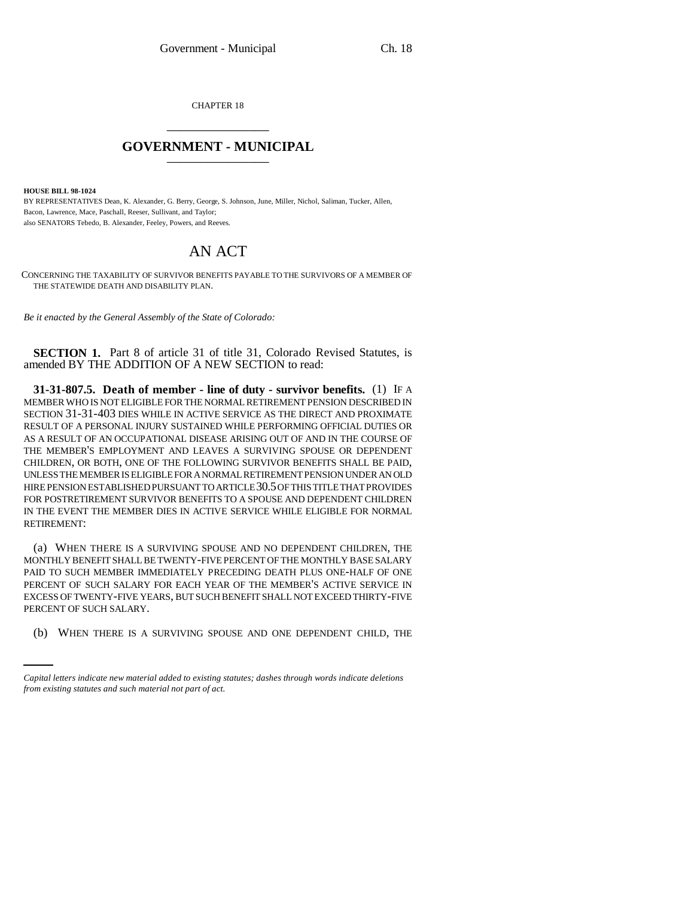CHAPTER 18 \_\_\_\_\_\_\_\_\_\_\_\_\_\_\_

## **GOVERNMENT - MUNICIPAL** \_\_\_\_\_\_\_\_\_\_\_\_\_\_\_

**HOUSE BILL 98-1024**

BY REPRESENTATIVES Dean, K. Alexander, G. Berry, George, S. Johnson, June, Miller, Nichol, Saliman, Tucker, Allen, Bacon, Lawrence, Mace, Paschall, Reeser, Sullivant, and Taylor; also SENATORS Tebedo, B. Alexander, Feeley, Powers, and Reeves.

## AN ACT

CONCERNING THE TAXABILITY OF SURVIVOR BENEFITS PAYABLE TO THE SURVIVORS OF A MEMBER OF THE STATEWIDE DEATH AND DISABILITY PLAN.

*Be it enacted by the General Assembly of the State of Colorado:*

**SECTION 1.** Part 8 of article 31 of title 31, Colorado Revised Statutes, is amended BY THE ADDITION OF A NEW SECTION to read:

**31-31-807.5. Death of member - line of duty - survivor benefits.** (1) IF A MEMBER WHO IS NOT ELIGIBLE FOR THE NORMAL RETIREMENT PENSION DESCRIBED IN SECTION 31-31-403 DIES WHILE IN ACTIVE SERVICE AS THE DIRECT AND PROXIMATE RESULT OF A PERSONAL INJURY SUSTAINED WHILE PERFORMING OFFICIAL DUTIES OR AS A RESULT OF AN OCCUPATIONAL DISEASE ARISING OUT OF AND IN THE COURSE OF THE MEMBER'S EMPLOYMENT AND LEAVES A SURVIVING SPOUSE OR DEPENDENT CHILDREN, OR BOTH, ONE OF THE FOLLOWING SURVIVOR BENEFITS SHALL BE PAID, UNLESS THE MEMBER IS ELIGIBLE FOR A NORMAL RETIREMENT PENSION UNDER AN OLD HIRE PENSION ESTABLISHED PURSUANT TO ARTICLE 30.5 OF THIS TITLE THAT PROVIDES FOR POSTRETIREMENT SURVIVOR BENEFITS TO A SPOUSE AND DEPENDENT CHILDREN IN THE EVENT THE MEMBER DIES IN ACTIVE SERVICE WHILE ELIGIBLE FOR NORMAL RETIREMENT:

PERCENT OF SUCH SALARY. (a) WHEN THERE IS A SURVIVING SPOUSE AND NO DEPENDENT CHILDREN, THE MONTHLY BENEFIT SHALL BE TWENTY-FIVE PERCENT OF THE MONTHLY BASE SALARY PAID TO SUCH MEMBER IMMEDIATELY PRECEDING DEATH PLUS ONE-HALF OF ONE PERCENT OF SUCH SALARY FOR EACH YEAR OF THE MEMBER'S ACTIVE SERVICE IN EXCESS OF TWENTY-FIVE YEARS, BUT SUCH BENEFIT SHALL NOT EXCEED THIRTY-FIVE

(b) WHEN THERE IS A SURVIVING SPOUSE AND ONE DEPENDENT CHILD, THE

*Capital letters indicate new material added to existing statutes; dashes through words indicate deletions from existing statutes and such material not part of act.*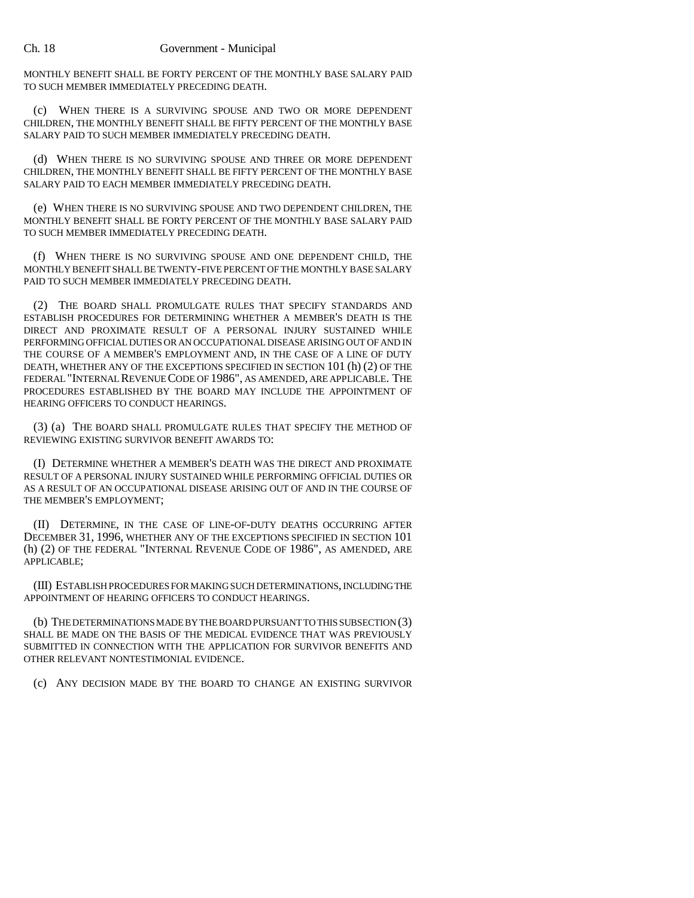MONTHLY BENEFIT SHALL BE FORTY PERCENT OF THE MONTHLY BASE SALARY PAID TO SUCH MEMBER IMMEDIATELY PRECEDING DEATH.

(c) WHEN THERE IS A SURVIVING SPOUSE AND TWO OR MORE DEPENDENT CHILDREN, THE MONTHLY BENEFIT SHALL BE FIFTY PERCENT OF THE MONTHLY BASE SALARY PAID TO SUCH MEMBER IMMEDIATELY PRECEDING DEATH.

(d) WHEN THERE IS NO SURVIVING SPOUSE AND THREE OR MORE DEPENDENT CHILDREN, THE MONTHLY BENEFIT SHALL BE FIFTY PERCENT OF THE MONTHLY BASE SALARY PAID TO EACH MEMBER IMMEDIATELY PRECEDING DEATH.

(e) WHEN THERE IS NO SURVIVING SPOUSE AND TWO DEPENDENT CHILDREN, THE MONTHLY BENEFIT SHALL BE FORTY PERCENT OF THE MONTHLY BASE SALARY PAID TO SUCH MEMBER IMMEDIATELY PRECEDING DEATH.

(f) WHEN THERE IS NO SURVIVING SPOUSE AND ONE DEPENDENT CHILD, THE MONTHLY BENEFIT SHALL BE TWENTY-FIVE PERCENT OF THE MONTHLY BASE SALARY PAID TO SUCH MEMBER IMMEDIATELY PRECEDING DEATH.

(2) THE BOARD SHALL PROMULGATE RULES THAT SPECIFY STANDARDS AND ESTABLISH PROCEDURES FOR DETERMINING WHETHER A MEMBER'S DEATH IS THE DIRECT AND PROXIMATE RESULT OF A PERSONAL INJURY SUSTAINED WHILE PERFORMING OFFICIAL DUTIES OR AN OCCUPATIONAL DISEASE ARISING OUT OF AND IN THE COURSE OF A MEMBER'S EMPLOYMENT AND, IN THE CASE OF A LINE OF DUTY DEATH, WHETHER ANY OF THE EXCEPTIONS SPECIFIED IN SECTION 101 (h) (2) OF THE FEDERAL "INTERNAL REVENUE CODE OF 1986", AS AMENDED, ARE APPLICABLE. THE PROCEDURES ESTABLISHED BY THE BOARD MAY INCLUDE THE APPOINTMENT OF HEARING OFFICERS TO CONDUCT HEARINGS.

(3) (a) THE BOARD SHALL PROMULGATE RULES THAT SPECIFY THE METHOD OF REVIEWING EXISTING SURVIVOR BENEFIT AWARDS TO:

(I) DETERMINE WHETHER A MEMBER'S DEATH WAS THE DIRECT AND PROXIMATE RESULT OF A PERSONAL INJURY SUSTAINED WHILE PERFORMING OFFICIAL DUTIES OR AS A RESULT OF AN OCCUPATIONAL DISEASE ARISING OUT OF AND IN THE COURSE OF THE MEMBER'S EMPLOYMENT;

(II) DETERMINE, IN THE CASE OF LINE-OF-DUTY DEATHS OCCURRING AFTER DECEMBER 31, 1996, WHETHER ANY OF THE EXCEPTIONS SPECIFIED IN SECTION 101 (h) (2) OF THE FEDERAL "INTERNAL REVENUE CODE OF 1986", AS AMENDED, ARE APPLICABLE;

(III) ESTABLISH PROCEDURES FOR MAKING SUCH DETERMINATIONS, INCLUDING THE APPOINTMENT OF HEARING OFFICERS TO CONDUCT HEARINGS.

(b) THE DETERMINATIONS MADE BY THE BOARD PURSUANT TO THIS SUBSECTION (3) SHALL BE MADE ON THE BASIS OF THE MEDICAL EVIDENCE THAT WAS PREVIOUSLY SUBMITTED IN CONNECTION WITH THE APPLICATION FOR SURVIVOR BENEFITS AND OTHER RELEVANT NONTESTIMONIAL EVIDENCE.

(c) ANY DECISION MADE BY THE BOARD TO CHANGE AN EXISTING SURVIVOR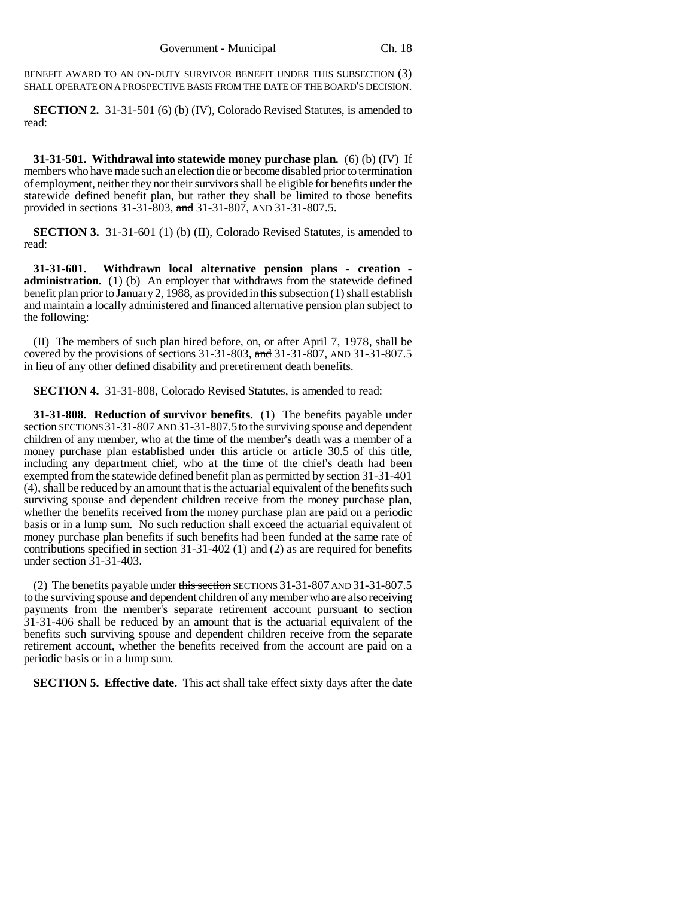BENEFIT AWARD TO AN ON-DUTY SURVIVOR BENEFIT UNDER THIS SUBSECTION (3) SHALL OPERATE ON A PROSPECTIVE BASIS FROM THE DATE OF THE BOARD'S DECISION.

**SECTION 2.** 31-31-501 (6) (b) (IV), Colorado Revised Statutes, is amended to read:

**31-31-501. Withdrawal into statewide money purchase plan.** (6) (b) (IV) If members who have made such an election die or become disabled prior to termination of employment, neither they nor their survivors shall be eligible for benefits under the statewide defined benefit plan, but rather they shall be limited to those benefits provided in sections 31-31-803, and 31-31-807, AND 31-31-807.5.

**SECTION 3.** 31-31-601 (1) (b) (II), Colorado Revised Statutes, is amended to read:

**31-31-601. Withdrawn local alternative pension plans - creation administration.** (1) (b) An employer that withdraws from the statewide defined benefit plan prior to January 2, 1988, as provided in this subsection (1) shall establish and maintain a locally administered and financed alternative pension plan subject to the following:

(II) The members of such plan hired before, on, or after April 7, 1978, shall be covered by the provisions of sections 31-31-803, and 31-31-807, AND 31-31-807.5 in lieu of any other defined disability and preretirement death benefits.

**SECTION 4.** 31-31-808, Colorado Revised Statutes, is amended to read:

**31-31-808. Reduction of survivor benefits.** (1) The benefits payable under section SECTIONS 31-31-807 AND 31-31-807.5 to the surviving spouse and dependent children of any member, who at the time of the member's death was a member of a money purchase plan established under this article or article 30.5 of this title, including any department chief, who at the time of the chief's death had been exempted from the statewide defined benefit plan as permitted by section 31-31-401 (4), shall be reduced by an amount that is the actuarial equivalent of the benefits such surviving spouse and dependent children receive from the money purchase plan, whether the benefits received from the money purchase plan are paid on a periodic basis or in a lump sum. No such reduction shall exceed the actuarial equivalent of money purchase plan benefits if such benefits had been funded at the same rate of contributions specified in section 31-31-402 (1) and (2) as are required for benefits under section  $31-31-403$ .

(2) The benefits payable under this section SECTIONS 31-31-807 AND 31-31-807.5 to the surviving spouse and dependent children of any member who are also receiving payments from the member's separate retirement account pursuant to section 31-31-406 shall be reduced by an amount that is the actuarial equivalent of the benefits such surviving spouse and dependent children receive from the separate retirement account, whether the benefits received from the account are paid on a periodic basis or in a lump sum.

**SECTION 5. Effective date.** This act shall take effect sixty days after the date